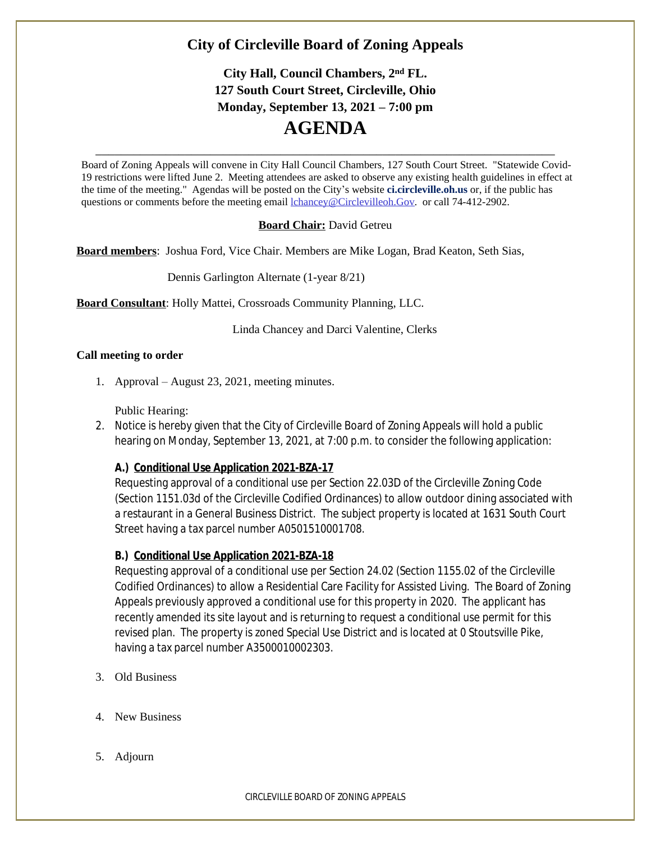## **City of Circleville Board of Zoning Appeals**

# **City Hall, Council Chambers, 2nd FL. 127 South Court Street, Circleville, Ohio Monday, September 13, 2021 – 7:00 pm AGENDA**

Board of Zoning Appeals will convene in City Hall Council Chambers, 127 South Court Street. "Statewide Covid-19 restrictions were lifted June 2. Meeting attendees are asked to observe any existing health guidelines in effect at the time of the meeting." Agendas will be posted on the City's website **ci.circleville.oh.us** or, if the public has questions or comments before the meeting email [lchancey@Circlevilleoh.Gov](mailto:lchancey@Circlevilleoh.Gov). or call 74-412-2902.

\_\_\_\_\_\_\_\_\_\_\_\_\_\_\_\_\_\_\_\_\_\_\_\_\_\_\_\_\_\_\_\_\_\_\_\_\_\_\_\_\_\_\_\_\_\_\_\_\_\_\_\_\_\_\_\_\_\_\_\_\_\_\_\_\_\_\_\_\_\_\_\_

#### **Board Chair:** David Getreu

**Board members**: Joshua Ford, Vice Chair. Members are Mike Logan, Brad Keaton, Seth Sias,

Dennis Garlington Alternate (1-year 8/21)

**Board Consultant**: Holly Mattei, Crossroads Community Planning, LLC.

Linda Chancey and Darci Valentine, Clerks

#### **Call meeting to order**

1. Approval – August 23, 2021, meeting minutes.

Public Hearing:

2. Notice is hereby given that the City of Circleville Board of Zoning Appeals will hold a public hearing on Monday, September 13, 2021, at 7:00 p.m. to consider the following application:

## **A.) Conditional Use Application 2021-BZA-17**

Requesting approval of a conditional use per Section 22.03D of the Circleville Zoning Code (Section 1151.03d of the Circleville Codified Ordinances) to allow outdoor dining associated with a restaurant in a General Business District. The subject property is located at 1631 South Court Street having a tax parcel number A0501510001708.

## **B.) Conditional Use Application 2021-BZA-18**

Requesting approval of a conditional use per Section 24.02 (Section 1155.02 of the Circleville Codified Ordinances) to allow a Residential Care Facility for Assisted Living. The Board of Zoning Appeals previously approved a conditional use for this property in 2020. The applicant has recently amended its site layout and is returning to request a conditional use permit for this revised plan. The property is zoned Special Use District and is located at 0 Stoutsville Pike, having a tax parcel number A3500010002303.

- 3. Old Business
- 4. New Business
- 5. Adjourn